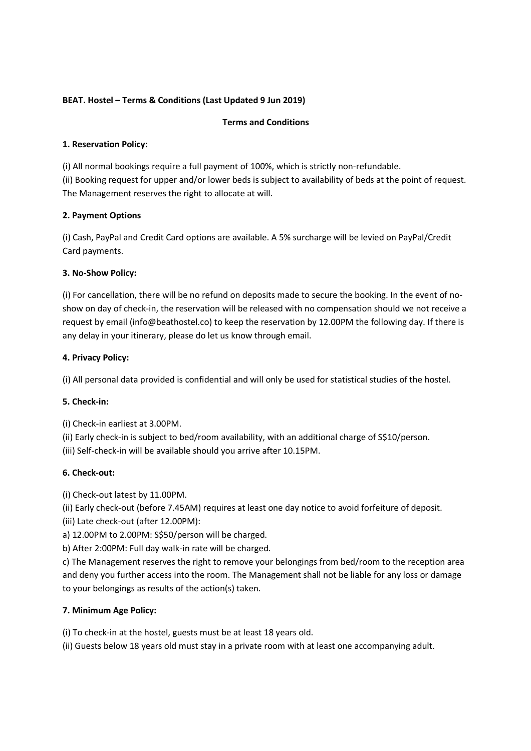# **BEAT. Hostel – Terms & Conditions (Last Updated 9 Jun 2019)**

### **Terms and Conditions**

### **1. Reservation Policy:**

(i) All normal bookings require a full payment of 100%, which is strictly non-refundable. (ii) Booking request for upper and/or lower beds is subject to availability of beds at the point of request. The Management reserves the right to allocate at will.

## **2. Payment Options**

(i) Cash, PayPal and Credit Card options are available. A 5% surcharge will be levied on PayPal/Credit Card payments.

## **3. No-Show Policy:**

(i) For cancellation, there will be no refund on deposits made to secure the booking. In the event of noshow on day of check-in, the reservation will be released with no compensation should we not receive a request by email (info@beathostel.co) to keep the reservation by 12.00PM the following day. If there is any delay in your itinerary, please do let us know through email.

## **4. Privacy Policy:**

(i) All personal data provided is confidential and will only be used for statistical studies of the hostel.

# **5. Check-in:**

(i) Check-in earliest at 3.00PM.

(ii) Early check-in is subject to bed/room availability, with an additional charge of S\$10/person.

(iii) Self-check-in will be available should you arrive after 10.15PM.

#### **6. Check-out:**

(i) Check-out latest by 11.00PM.

(ii) Early check-out (before 7.45AM) requires at least one day notice to avoid forfeiture of deposit.

(iii) Late check-out (after 12.00PM):

a) 12.00PM to 2.00PM: S\$50/person will be charged.

b) After 2:00PM: Full day walk-in rate will be charged.

c) The Management reserves the right to remove your belongings from bed/room to the reception area and deny you further access into the room. The Management shall not be liable for any loss or damage to your belongings as results of the action(s) taken.

# **7. Minimum Age Policy:**

(i) To check-in at the hostel, guests must be at least 18 years old.

(ii) Guests below 18 years old must stay in a private room with at least one accompanying adult.